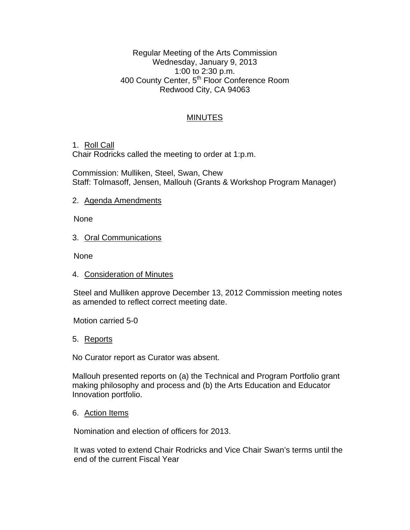Regular Meeting of the Arts Commission Wednesday, January 9, 2013 1:00 to 2:30 p.m. 400 County Center, 5<sup>th</sup> Floor Conference Room Redwood City, CA 94063

# MINUTES

## 1. Roll Call

Chair Rodricks called the meeting to order at 1:p.m.

Commission: Mulliken, Steel, Swan, Chew Staff: Tolmasoff, Jensen, Mallouh (Grants & Workshop Program Manager)

### 2. Agenda Amendments

None

## 3. Oral Communications

None

4. Consideration of Minutes

Steel and Mulliken approve December 13, 2012 Commission meeting notes as amended to reflect correct meeting date.

Motion carried 5-0

#### 5. Reports

No Curator report as Curator was absent.

Mallouh presented reports on (a) the Technical and Program Portfolio grant making philosophy and process and (b) the Arts Education and Educator Innovation portfolio.

#### 6. Action Items

Nomination and election of officers for 2013.

It was voted to extend Chair Rodricks and Vice Chair Swan's terms until the end of the current Fiscal Year